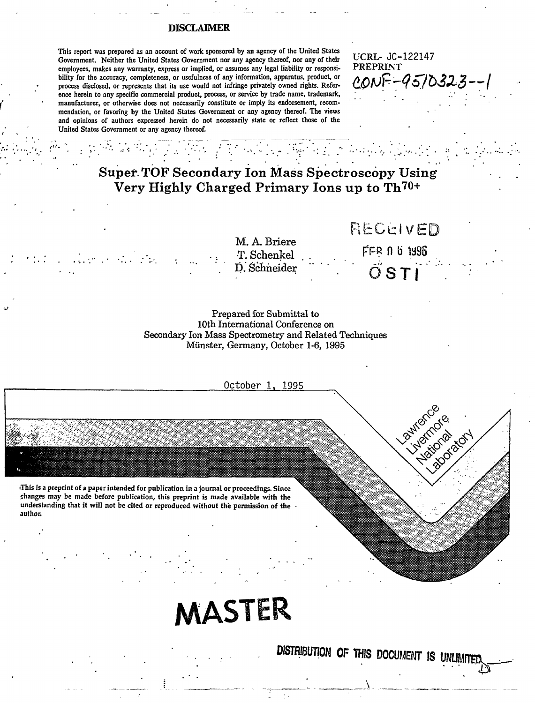#### DISCLAIMER

**This report was prepared as an account of work sponsored by an agency of the United States Government. Neither the United States Government nor any agency thereof, nor any of their employees, makes any warranty, express or implied, or assumes any legal liability or responsibility for the accuracy, completeness, or usefulness of any information, apparatus, product, or process disclosed, or represents that its use would not infringe privately owned rights. Reference herein to any specific commercial product, process, or service by trade name, trademark, manufacturer, or otherwise does not necessarily constitute or imply its endorsement, recommendation, or favoring by the United States Government or any agency thereof. The views and opinions of authors expressed herein do not necessarily state or reflect those of the United States Government or any agency thereof.** 

UCRL- JC-122147 PREPRINT  $ONF - 9570323 - -1$ 

Super. TOF Secondary Ion Mass Spectroscopy Using Very Highly Charged Primary Ions up to Th<sup>70+</sup>

> M. A. Briere •T. Schenkel D. Schneider

RECEIVED PFR n b *ms* 

 $\mathrm{O}\:\textbf{S}$  T

Prepared for Submittal to 10th International Conference on Secondary Ion Mass Spectrometry and Related Techniques Minister, Germany, October 1-6, 1995

October 1, 1995 **PutterCommunity** itola atch Netrola **This is a preprint of a paper intended for publication in a journal or proceedings. Since changes may be made before publication, this preprint is made available with the understanding that it will not be cited or reproduced without the permission of the author.** 

# MASTER

DISTRIBUTION OF THIS DOCUMENT IS UNLIMITED

fir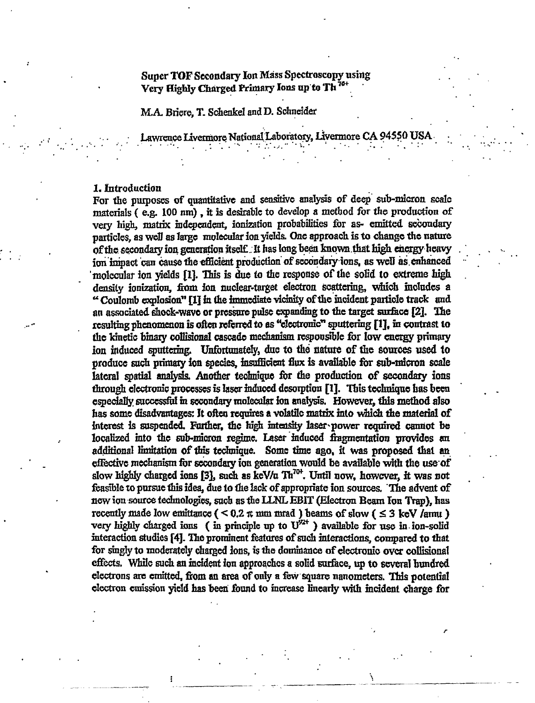# Super TOF Secondary Ion Mass Spectroscopy using Very Highly Charged Primary Ions up to Th<sup>104</sup>

M.A. Briere, T. Schenkel and D. Schneider

Lawrence Iivermore. National Laboratory, liyermore CA 94550 USA

#### 1. Introduction

For the purposes of quantitative and sensitive analysis of deep sub-micron scale materials ( e.g. 100 nm) , it is desirable to develop a method *for* the production of very high, matrix independent, ionization probabilities for as- emitted secondary particles, as well as large molecular ion yields. One approach is to change the nature of the secondary ion generation itself. It has long been known that high energy heavy ion impact can cause the efficient production' of secondary-ions, as well as. enhanced molecular ion yields *[l].* This is due to the response of the solid to extreme high density ionization, from ion nuclear-target electron scattering, which includes a " Coulomb explosion" [1] in the immediate vicinity of the incident particle track and an associated shock-wave or pressure pulse expanding to the target surface [2J. The resulting phenomenon is often referred to as "electronic" sputtering [1], in contrast to the kinetic binary collisional cascade mechanism responsible for low energy primary ion induced sputtering. Unfortunately, due to the nature of the sources used to produce such primary ion species, insufficient flux is available for sub-micron scale lateral spatial analysis. Another technique for the production of secondary ions through electronic processes is laser induced desorption [1]. This technique has been especially successful in secondary molecular ion analysis. However, this method also has some disadvantages: It ofteo requires a volatile matrix into which die material of interest is suspended. Further, the high intensity laser power required cannot be localized into the sub-micron regime. Laser induced fragmentation provides an additional fimitation of this technique. Some time ago, ft was proposed that an effective mechanism for secondary ion generation would be available with the use of slow highly charged ions  $[3]$ , such as keV/u Th<sup>70+</sup>. Until now, however, it was not feasible to pursue this idea, due to (he lack of appropriate ion sources. The advent of new ion source technologies, such as the LLNL EBIT (Electron Beam Ion Trap), has recently made low emittance (  $\leq 0.2 \pi$  mm mrad ) beams of slow (  $\leq 3$  keV /amu ) very highly charged ions  $\left($   $\sqrt{2}$   $\mu$  and may j usems or stow  $\left( \frac{1}{2} \right)$  for  $\mu$  and  $\mu$  very highly charged ions  $\left($  in principle up to  $W^{\text{ZF}}$  ) available for use in ion-solid interaction studies [4]. The prominent features of such interactions, compared to that for singly to moderately charged ions, is the dominance of electronic over colfisional effects. While such an incident ion approaches a solid surface, tip to several hundred electrons are emitted, from an area of only a few square nanometers. This potential electron emission yield has been found to increase hneariy with incident charge for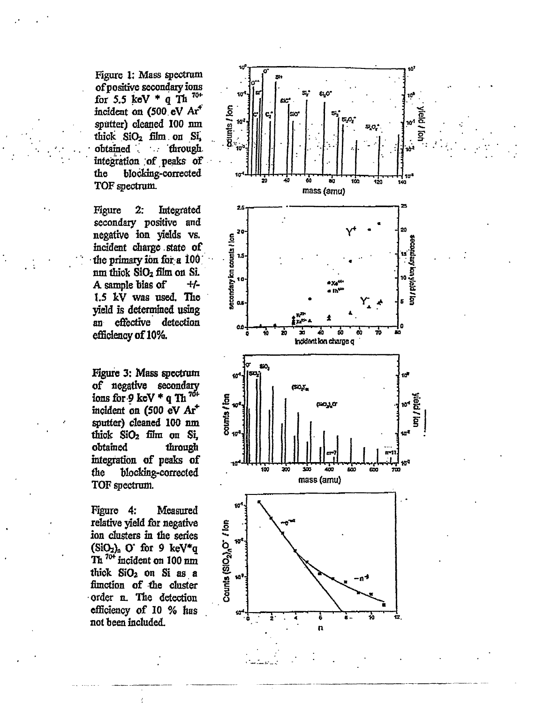Figure 1: Mass spectrum of positive secondary ions for 5.5 keV \* q Th  $^{70+}$ incident on (500 eV Ar<sup>+</sup> sputter) cleaned 100 nm thick SiO<sub>2</sub> film on Si, obtained through integration of peaks of blocking-corrected the TOF spectrum.

Figure  $2:$ Integrated secondary positive and negative ion yields vs. incident charge state of the primary fon for  $a$  100 nm thick SiO<sub>2</sub> film on Si. A sample bias of  $+/-$ 1.5 kV was used. The vield is determined using effective detection  $\overline{\mathbf{a}}\overline{\mathbf{u}}$ efficiency of 10%.

Figure 3: Mass spectrum of negative secondary ions for 9 keV \* q Th  $^{70+}$ incident on (500 eV Ar<sup>+</sup> sputter) cleaned 100 nm thick SiO<sub>2</sub> film on Si, obtained through integration of peaks of the blocking-corrected TOF spectrum.

Figure 4: Measured relative yield for negative ion clusters in the series  $(SiO<sub>2</sub>)<sub>a</sub>$  O' for 9 keV<sup>\*</sup>q Th<sup>704</sup> incident on 100 nm thick SiO<sub>2</sub> on Si as a function of the cluster order n. The detection efficiency of 10 % has not been included.

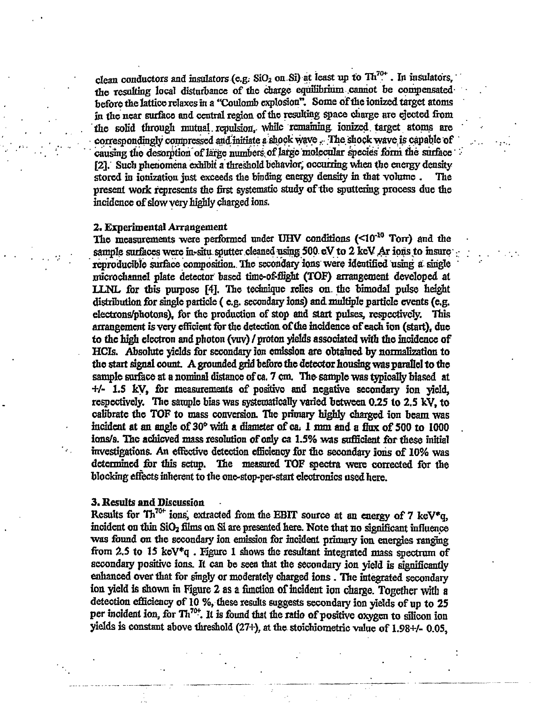clean conductors and insulators (e.g.  $SiO_2$  on Si) at least up to Th<sup>or</sup>. In insulators, the resulting local disturbance of the charge equffibrium cannot be compensated before the lattice relaxes in a "Coulomb explosion". Some of the ionized target atoms in the near surface and central region of the resulting space charge are ejected from the solid through mutual, repulsion, while remaining, ionized, target atoms are correspondingly compressed and initiate a shock wave,. The shock wave is capable of causing the desorption of large numbers of large molecular species form the surface [2]. Such phenomena exhibit a threshold behavior, occurring when the energy density stored in ionization just exceeds the binding energy density in that volume. The present work represents the first systematic study of the sputtering process due the incidence of slowyery highly charged ions.

### 2. Experimental Arrangement

The measurements were performed under UHV conditions  $($  <10<sup>-10</sup> Torr) and the sample surfaces were in-situ. sputter cleaned using 500. eV to 2 keV *As* ions to insure : reproducible surface composition.. The secondary ions were identified using a single microchannel plate detector based time-of-ffight (TOF) arrangement developed at LLNL for this purpose [4]. The technique relies on the bimodal pulse height distribution for single particle ( e.g. secondary ions) and multiple particle events (e,g. electrons/photons), for the production of stop and start pulses, respectively. This arrangement is very efficient for the detection of the incidence of each ion (start), due to the high electron and photon (vuv) / proton yields associated with the incidence of HCIs. Absolute yields for secondary ion emission are obtained by normalization to the start signal count. A grounded grid before the detector housing was parallel to the sample surface at a nominal distance of ca. 7 cm. The sample was typically biased at +/- 1.5 kV, for measurements of positive and negative secondary ion yield, respectively. The sample bias was systematically varied between 0.25 to 2.5 kV, to calibrate the TOP to mass conversion. The primary highly charged ion beam was incident at an angle of 30° with a diameter of ca. 1 mm and a flux of 500 to 1000 ions/s. The achieved mass resolution of only ca 1.5% was sufficient for these initial investigations. An effective detection efficiency for the secondary ions of 10% was determined for this setup. The measured TOF spectra were corrected for the blocking effects inherent to the one-stop-per-start electronics used here.

## 3. Results and Discussion

 $\sim$  .

Results for Th<sup>or</sup> ions, extracted from the EBIT source at an energy of 7 keV<sup>\*</sup>q, incident on thin  $SiO<sub>2</sub>$  films on  $Si$  are presented here. Note that no significant influence was found on the secondary ion emission for incident primary ion energies ranging from 2.5 to 15 keY\*q . Figure 1 shows the resultant integrated mass spectrum of secondary positive ions. It can be seen that the secondary ion yield is significantly enhanced over that for singly or moderately charged ions. The integrated secondary ion yield is shown in Figure 2 as a function of incident ion charge. Together with a deteotion efficiency of 10 *%,* these results suggests secondary ion yidds of up to 25 per incident ion, for Th<sup>70+</sup>. It is found that the ratio of positive oxygen to silicon ion yields is constant above threshold (27+), at the stoichiometric value of 1.98+/- 0.05,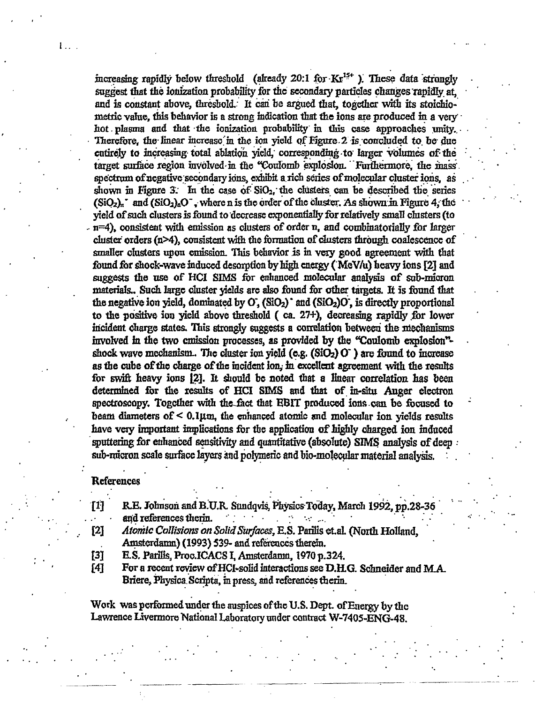increasing rapidly below threshold (already 20:1 for  $Kr^{15+}$ ). These data strongly suggest that the ionization probability for the secondary particles changes 'rapidly at, • and is constant above, threshold.: It can be argued that, together with its stoichiometric value, this behavior is a strong indication that the ions are produced in a very' hot. plasma and that the ionization probability in this case approaches unity.. Therefore, the linear increase in the ion yield of Figure. 2 is concluded to be due entirely *to* increasing total ablation yield," corresponding to larger volumes of the •' target surface region involved in the "Coulomb explosion. Furthermore, the mass', spectrum of negative secondary ions, exhibit a rich series of molecular cluster ions, as shown in Figure 3. In the case of  $SiO<sub>2</sub>$ , the clusters can be described the series  $(SiQ<sub>z</sub>)<sub>n</sub>$  and  $(SiQ<sub>z</sub>)<sub>a</sub>Q<sup>-</sup>$ , where n is the order of the cluster. As shown in Figure 4, the yield of such clusters is found to decrease exponentially for relatively small clusters (to  $n=4$ , consistent with emission as clusters of order n, and combinatorially for larger cluster orders (n>4), consistent with the fonnation of clusters through coalescence of smaller clusters upon emission. This behavior is in very good agreement with that found for shock-wave induced desorption by high energy ( MeV/u) heavy ions [2] and suggests the use of HCI SIMS for enhanced molecular analysis of sub-micron materials.. Such large cluster yields are also found for other targets. It is found that the negative ion yield, dominated by  $O_1(SiO_2)$  and  $(SiO_2)O$ , is directly proportional to the positive ion yield above threshold ( ca. 27+), decreasing rapidly .for lower incident charge states. This strongly suggests a correlation between the mechanisms involved in the two emission processes, as provided by the "Coulomb explosion"\* shock wave mechanism. The cluster ion yield (e.g.  $(SiO<sub>2</sub>)$  O") are found to increase as the cube of the charge of the incident ion, in excellent agreement with the results for swift heavy ions |2]. It should be noted that a linear correlation has been determined for the results of HCI SMS and that of m-situ Auger electron spectroscopy. Together with the fact that EBIT produced ions can be focused to beam diameters of  $\leq 0.1 \mu$ m, the enhanced atomic and molecular ion yields results have very important implications for the application of highly charged ion induced sputtering for enhanced sensitivity and quantitative (absolute) SIMS analysis of deep sub-micron scale surface layers and polymeric and bio-molecular material analysis.

### References

[1] R.E. Johnson and B.U.R. Sundqvis, Physics Today, March 1992, pp.28-36 • *mi* references: therm.

[2] Atomic Collisions on Solid Surfaces, E.S. Parilis et.al. (North Holland, Amsterdamn) (1993) 539- and references therein.

[3] E.S. Parilis, Proc.ICACS I, Amsteraamn, 1970 p.324.

£4] For a recent review of HCI-solid interactions see D.H.G. Schneider and M A Briere, Physica. Scripta, in press, and references therm.

Work was performed under the auspices of the U.S. Dept of Energy by the Lawrence Livermore National Laboratory under contract W-7405-ENG-48.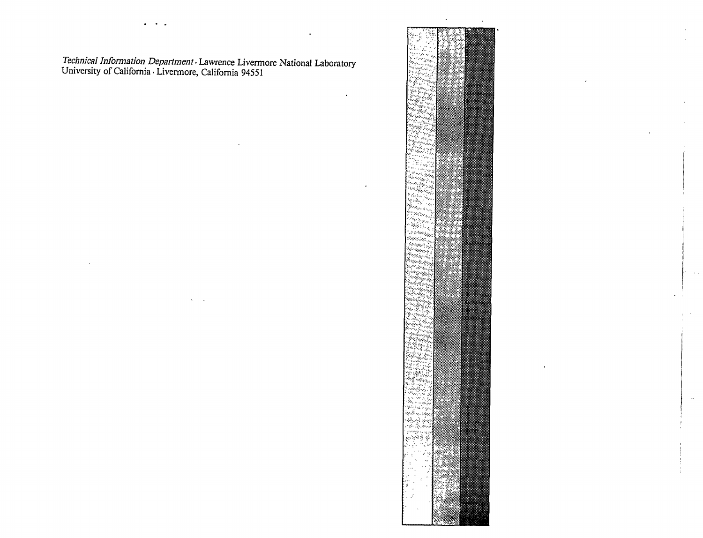Technical Information Department · Lawrence Livermore National Laboratory<br>University of California · Livermore, California 94551



 $\mathbf{r}$